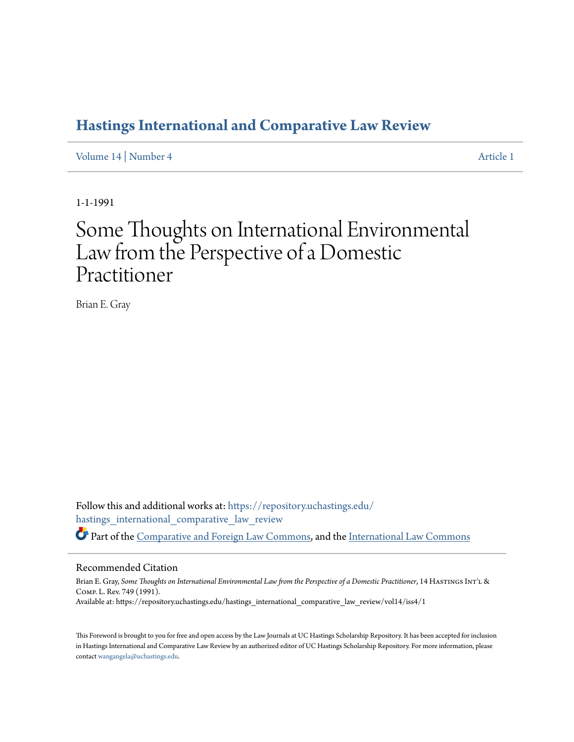### **[Hastings International and Comparative Law Review](https://repository.uchastings.edu/hastings_international_comparative_law_review?utm_source=repository.uchastings.edu%2Fhastings_international_comparative_law_review%2Fvol14%2Fiss4%2F1&utm_medium=PDF&utm_campaign=PDFCoverPages)**

[Volume 14](https://repository.uchastings.edu/hastings_international_comparative_law_review/vol14?utm_source=repository.uchastings.edu%2Fhastings_international_comparative_law_review%2Fvol14%2Fiss4%2F1&utm_medium=PDF&utm_campaign=PDFCoverPages) | [Number 4](https://repository.uchastings.edu/hastings_international_comparative_law_review/vol14/iss4?utm_source=repository.uchastings.edu%2Fhastings_international_comparative_law_review%2Fvol14%2Fiss4%2F1&utm_medium=PDF&utm_campaign=PDFCoverPages) [Article 1](https://repository.uchastings.edu/hastings_international_comparative_law_review/vol14/iss4/1?utm_source=repository.uchastings.edu%2Fhastings_international_comparative_law_review%2Fvol14%2Fiss4%2F1&utm_medium=PDF&utm_campaign=PDFCoverPages)

1-1-1991

# Some Thoughts on International Environmental Law from the Perspective of a Domestic Practitioner

Brian E. Gray

Follow this and additional works at: [https://repository.uchastings.edu/](https://repository.uchastings.edu/hastings_international_comparative_law_review?utm_source=repository.uchastings.edu%2Fhastings_international_comparative_law_review%2Fvol14%2Fiss4%2F1&utm_medium=PDF&utm_campaign=PDFCoverPages) [hastings\\_international\\_comparative\\_law\\_review](https://repository.uchastings.edu/hastings_international_comparative_law_review?utm_source=repository.uchastings.edu%2Fhastings_international_comparative_law_review%2Fvol14%2Fiss4%2F1&utm_medium=PDF&utm_campaign=PDFCoverPages) Part of the [Comparative and Foreign Law Commons](http://network.bepress.com/hgg/discipline/836?utm_source=repository.uchastings.edu%2Fhastings_international_comparative_law_review%2Fvol14%2Fiss4%2F1&utm_medium=PDF&utm_campaign=PDFCoverPages), and the [International Law Commons](http://network.bepress.com/hgg/discipline/609?utm_source=repository.uchastings.edu%2Fhastings_international_comparative_law_review%2Fvol14%2Fiss4%2F1&utm_medium=PDF&utm_campaign=PDFCoverPages)

### Recommended Citation

Brian E. Gray, Some Thoughts on International Environmental Law from the Perspective of a Domestic Practitioner, 14 HASTINGS INT'L & Comp. L. Rev. 749 (1991). Available at: https://repository.uchastings.edu/hastings\_international\_comparative\_law\_review/vol14/iss4/1

This Foreword is brought to you for free and open access by the Law Journals at UC Hastings Scholarship Repository. It has been accepted for inclusion in Hastings International and Comparative Law Review by an authorized editor of UC Hastings Scholarship Repository. For more information, please contact [wangangela@uchastings.edu](mailto:wangangela@uchastings.edu).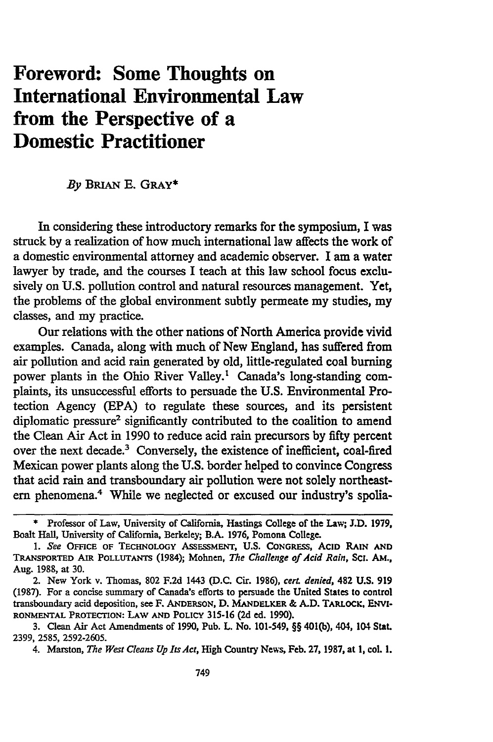## **Foreword: Some Thoughts on International Environmental Law from the Perspective of a Domestic Practitioner**

#### *By* BRIAN **E.** GRAY\*

In considering these introductory remarks for the symposium, I was struck by a realization of how much international law affects the work of a domestic environmental attorney and academic observer. **I** am a water lawyer by trade, and the courses I teach at this law school focus exclusively on **U.S.** pollution control and natural resources management. Yet, the problems of the global environment subtly permeate my studies, my classes, and my practice.

Our relations with the other nations of North America provide vivid examples. Canada, along with much of New England, has suffered from air pollution and acid rain generated by old, little-regulated coal burning power plants in the Ohio River Valley.' Canada's long-standing complaints, its unsuccessful efforts to persuade the U.S. Environmental Protection Agency **(EPA)** to regulate these sources, and its persistent diplomatic pressure2 significantly contributed to the coalition to amend the Clean Air Act in **1990** to reduce acid rain precursors by fifty percent over the next decade.3 Conversely, the existence of inefficient, coal-fired Mexican power plants along the U.S. border helped to convince Congress that acid rain and transboundary air pollution were not solely northeastern phenomena.4 While we neglected or excused our industry's spolia-

**<sup>\*</sup>** Professor of Law, University of California, Hastings College of the Law; **J.D. 1979,** Boalt Hall, University of California, Berkeley; B.A. 1976, Pomona College.

**<sup>1.</sup>** See **OFFICE OF TECHNOLOGY ASSESSMENT, U.S. CONGRESS,** ACID RAIN **AND TRANSPORTED** AIR **POLLUTANTS (1984);** Mohnen, The Challenge *of Acid Rain,* **Sci. AM.,** Aug. **1988,** at 30.

<sup>2.</sup> New York v. Thomas, 802 F.2d 1443 (D.C. Cir. 1986), *cerL denied,* 482 U.S. **919 (1987).** For a concise summary of Canada's efforts to persuade the United States to control transboundary acid deposition, see F. **ANDERSON, D. MANDELKER** & **A.D.** TARLOCK, ENvI-**RONMENTAL PROTECTION: LAW AND POLICY 315-16 (2d** ed. **1990).**

**<sup>3.</sup>** Clean Air Act Amendments of **1990,** Pub. L. No. 101-549, §§ 401(b), 404, **104** Stat. **2399, 2585, 2592-2605.**

<sup>4.</sup> Marston, *The West Cleans Up Its Act,* **High** Country News, **Feb. 27, 1987,** at **1,** col. **1.**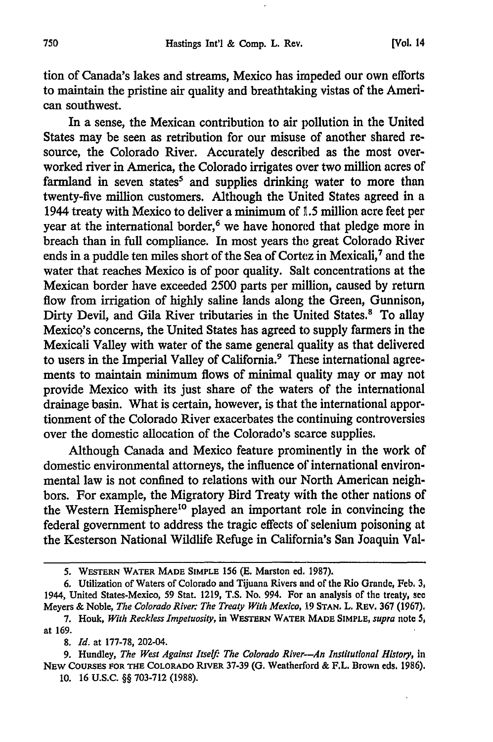tion of Canada's lakes and streams, Mexico has impeded our own efforts to maintain the pristine air quality and breathtaking vistas of the American southwest.

In a sense, the Mexican contribution to air pollution in the United States may be seen as retribution for our misuse of another shared resource, the Colorado River. Accurately described as the most overworked river in America, the Colorado irrigates over two million acres of farmland in seven states<sup>5</sup> and supplies drinking water to more than twenty-five million customers. Although the United States agreed in a 1944 treaty with Mexico to deliver a minimum of **L.5** million acre feet per year at the international border,<sup>6</sup> we have honored that pledge more in breach than in full compliance. In most years the great Colorado River ends in a puddle ten miles short of the Sea of Cortez in Mexicali,<sup>7</sup> and the water that reaches Mexico is of poor quality. Salt concentrations at the Mexican border have exceeded 2500 parts per million, caused by return flow from irrigation of highly saline lands along the Green, Gunnison, Dirty Devil, and Gila River tributaries in the United States.<sup>8</sup> To allay Mexico's concerns, the United States has agreed to supply farmers in the Mexicali Valley with water of the same general quality as that delivered to users in the Imperial Valley of California.<sup>9</sup> These international agreements to maintain minimum flows of minimal quality may or may not provide Mexico with its just share of the waters of the international drainage basin. What is certain, however, is that the international apportionment of the Colorado River exacerbates the continuing controversies over the domestic allocation of the Colorado's scarce supplies.

Although Canada and Mexico feature prominently in the work of domestic environmental attorneys, the influence of international environmental law is not confined to relations with our North American neighbors. For example, the Migratory Bird Treaty with the other nations of the Western Hemisphere<sup>10</sup> played an important role in convincing the federal government to address the tragic effects of selenium poisoning at the Kesterson National Wildlife Refuge in California's San Joaquin Val-

**<sup>5.</sup> WESTERN WATER MADE SIMPLE 156 (E.** Marston **ed. 1987).**

**<sup>6.</sup>** Utilization of Waters of Colorado and Tijuana Rivers and of the Rio Grande, **Feb.** 3, 1944, United States-Mexico, **59** Stat. **1219, T.S.** No. 994. For an analysis of the treaty, see Meyers & Noble, *The Colorado River: The Treaty With Mexico,* **19 STAN.** L. REv. **367 (1967),**

**<sup>7.</sup>** Houk, *With Reckless Impetuosity,* in **WESTERN WATER MADE SIMPLE,** *supra* note 5, at 169.

*<sup>8.</sup> Id.* at **177-78,** 202-04.

<sup>9.</sup> Hundley, *The West Against Itself: The Colorado River--An Institutional History*, in **NEW** COURSES **FOR THE COLORADO RIVER 37-39 (G.** Weatherford **&** F.L. Brown eds. **1986).**

**<sup>10. 16</sup> U.S.C.** §§ **703-712 (1988).**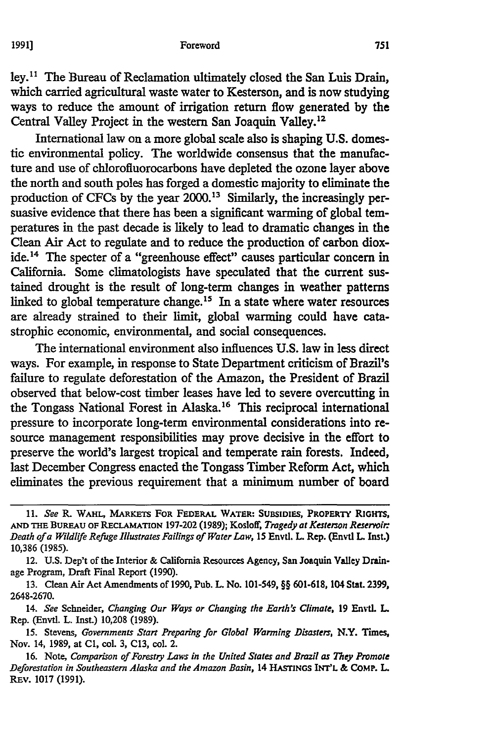#### Foreword

ley.<sup>11</sup> The Bureau of Reclamation ultimately closed the San Luis Drain, which carried agricultural waste water to Kesterson, and is now studying ways to reduce the amount of irrigation return flow generated **by** the Central Valley Project in the western San Joaquin Valley.<sup>12</sup>

International law on a more global scale also is shaping **U.S.** domestic environmental policy. The worldwide consensus that the manufacture and use of chlorofluorocarbons have depleted the ozone layer above the north and south poles has forged a domestic majority to eliminate the production of CFCs by the year 2000.13 Similarly, the increasingly persuasive evidence that there has been a significant warming of global temperatures in the past decade is likely to lead to dramatic changes in the Clean Air Act to regulate and to reduce the production of carbon dioxide. 4 The specter of a "greenhouse effect" causes particular concern in California. Some climatologists have speculated that the current sustained drought is the result of long-term changes in weather patterns linked to global temperature change.15 In a state where water resources are already strained to their limit, global warming could have catastrophic economic, environmental, and social consequences.

The international environment also influences U.S. law in less direct ways. For example, in response to State Department criticism of Brazil's failure to regulate deforestation of the Amazon, the President of Brazil observed that below-cost timber leases have led to severe overcutting in the Tongass National Forest in Alaska.<sup>16</sup> This reciprocal international pressure to incorporate long-term environmental considerations into resource management responsibilities may prove decisive in the effort to preserve the world's largest tropical and temperate rain forests. Indeed, last December Congress enacted the Tongass Timber Reform Act, which eliminates the previous requirement that a minimum number of board

**<sup>11.</sup>** *See* R. **WAHL, MARKETS FOR FEDERAL WATER: SUBSIDIES, PROPERTY RIGHTS, AND THE** BUREAU **OF RECLAMATION 197-202 (1989);** Kosloff, *Tragedy at Kesterson Reservoir* Death of a Wildlife Refuge Illustrates Failings of Water Law, 15 Envtl. L. Rep. (Envtl L. Inst.) **10,386 (1985).**

<sup>12.</sup> **U.S.** Dep't of the Interior & California Resources Agency, San Joaquin Valley Drainage Program, Draft Final Report **(1990).**

**<sup>13.</sup>** Clean Air Act Amendments of **1990,** Pub. L. No. 101-549, §§ **601-618, 104** Stat. **2399, 2648-2670.**

<sup>14.</sup> *See* Schneider, *Changing Our Ways or Changing the Earth's Climate,* **19** Envtl L Rep. (Envtl. L. Inst.) **10,208 (1989).**

**<sup>15.</sup>** Stevens, *Governments Start Preparing for Global Warming Disasters,* N.Y. Times, Nov. 14, **1989,** at **Cl,** col. **3, C13,** col. 2.

**<sup>16.</sup>** Note, *Comparison of Forestry Laws in the United States and Brazil as They* Promote *Deforestation in Southeastern Alaska and the Amazon Basin,* 14 **HASTINGS** INT'L & COMP. L **REv. 1017 (1991).**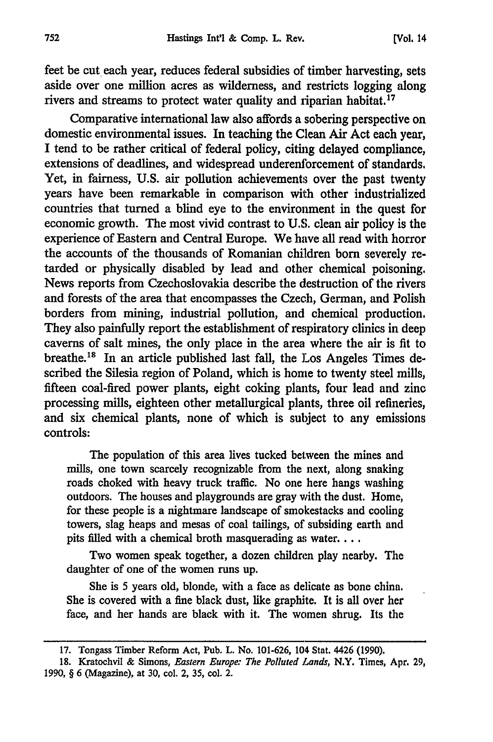feet be cut, each year, reduces federal subsidies of timber harvesting, sets aside over one million acres as wilderness, and restricts logging along rivers and streams to protect water quality and riparian habitat.<sup>17</sup>

Comparative international law also affords a sobering perspective on domestic environmental issues. In teaching the Clean Air Act each year, I tend to be rather critical of federal policy, citing delayed compliance, extensions of deadlines, and widespread underenforcement of standards. Yet, in fairness, U.S. air pollution achievements over the past twenty years have been remarkable in comparison with other industrialized countries that turned a blind eye to the environment in the quest for economic growth. The most vivid contrast to U.S. clean air policy is the experience of Eastern and Central Europe. We have all read with horror the accounts of the thousands of Romanian children born severely retarded or physically disabled by lead and other chemical poisoning. News reports from Czechoslovakia describe the destruction of the rivers and forests of the area that encompasses the Czech, German, and Polish borders from mining, industrial pollution, and chemical production. They also painfully report the establishment of respiratory clinics in deep caverns of salt mines, the only place in the area where the air is fit to breathe.18 In an article published last fall, the Los Angeles Times described the Silesia region of Poland, which is home to twenty steel mills, fifteen coal-fired power plants, eight coking plants, four lead and zinc processing mills, eighteen other metallurgical plants, three oil refineries, and six chemical plants, none of which is subject to any emissions controls:

The population of this area lives tucked between the mines and mills, one town scarcely recognizable from the next, along snaking roads choked with heavy truck traffic. No one here hangs washing outdoors. The houses and playgrounds are gray with the dust. Home, for these people is a nightmare landscape of smokestacks and cooling towers, slag heaps and mesas of coal tailings, of subsiding earth and pits filled with a chemical broth masquerading as water....

Two women speak together, a dozen children play nearby. The daughter of one of the women runs up.

She is 5 years old, blonde, with a face as delicate as bone china. She is covered with a fine black dust, like graphite. It is all over her face, and her hands are black with it. The women shrug. Its the

**<sup>17.</sup>** Tongass Timber Reform **Act, Pub. L. No. 101-626, 104 Stat.** 4426 **(1990).**

**<sup>18.</sup>** Kratochvil **&** Simons, *Eastern Europe: The Polluted Lands,* N.Y. Times, Apr. **29, 1990,** § **6** (Magazine), at **30,** col. 2, **35,** col. 2.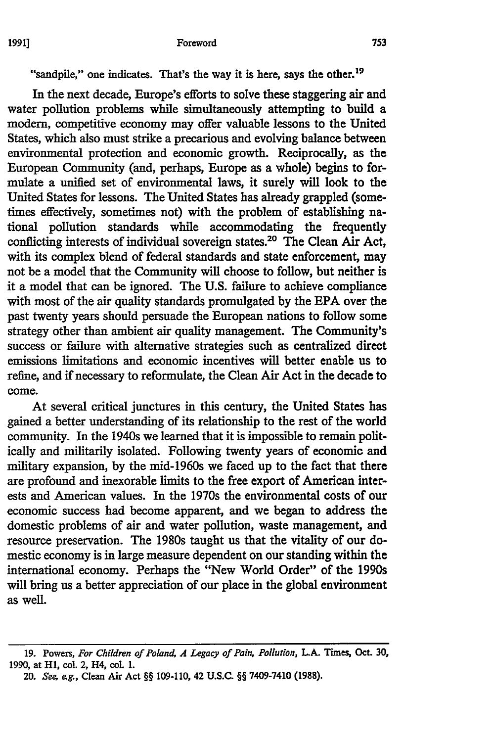"sandpile," one indicates. That's the way it is here, says the other.<sup>19</sup>

In the next decade, Europe's efforts to solve these staggering air and water pollution problems while simultaneously attempting to build a modern, competitive economy may offer valuable lessons to the United States, which also must strike a precarious and evolving balance between environmental protection and economic growth. Reciprocally, as the European Community (and, perhaps, Europe as a whole) begins to formulate a unified set of environmental laws, it surely will look to the United States for lessons. The United States has already grappled (sometimes effectively, sometimes not) with the problem of establishing national pollution standards while accommodating the frequently conflicting interests of individual sovereign states.<sup>20</sup> The Clean Air Act, with its complex blend of federal standards and state enforcement, may not be a model that the Community will choose to follow, but neither is it a model that can be ignored. The U.S. failure to achieve compliance with most of the air quality standards promulgated by the **EPA** over the past twenty years should persuade the European nations to follow some strategy other than ambient air quality management. The Community's success or failure with alternative strategies such as centralized direct emissions limitations and economic incentives will better enable us to refine, and if necessary to reformulate, the Clean Air Act in the decade to come.

At several critical junctures in this century, the United States has gained a better understanding of its relationship to the rest of the world community. In the 1940s we learned that it is impossible to remain politically and militarily isolated. Following twenty years of economic and military expansion, by the mid-1960s we faced up to the fact that there are profound and inexorable limits to the free export of American interests and American values. In the 1970s the environmental costs of our economic success had become apparent, and we began to address the domestic problems of air and water pollution, waste management, and resource preservation. The 1980s taught us that the vitality of our domestic economy is in large measure dependent on our standing within the international economy. Perhaps the "New World Order" of the 1990s will bring us a better appreciation of our place in the global environment as well.

**<sup>19.</sup>** Powers, *For Children of Poland, A Legacy of Pain, Pollution, LA.* **Times,** *Oct.* **30, 1990,** at **HI,** col. 2, **H4,** coL **1.**

<sup>20.</sup> *See, eg.,* Clean Air Act §§ **109-110,** 42 U.S.C §§ 7409-7410 **(1988).**